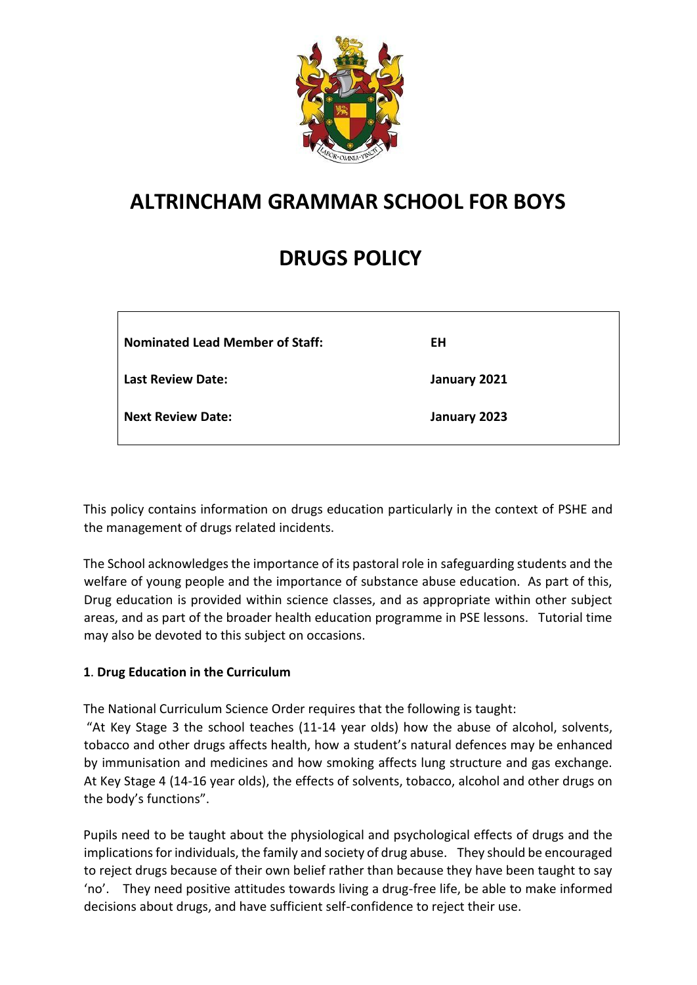

# **ALTRINCHAM GRAMMAR SCHOOL FOR BOYS**

# **DRUGS POLICY**

| <b>Nominated Lead Member of Staff:</b> | ΕH           |
|----------------------------------------|--------------|
| <b>Last Review Date:</b>               | January 2021 |
| Next Review Date:                      | January 2023 |

This policy contains information on drugs education particularly in the context of PSHE and the management of drugs related incidents.

The School acknowledges the importance of its pastoral role in safeguarding students and the welfare of young people and the importance of substance abuse education. As part of this, Drug education is provided within science classes, and as appropriate within other subject areas, and as part of the broader health education programme in PSE lessons. Tutorial time may also be devoted to this subject on occasions.

# **1**. **Drug Education in the Curriculum**

The National Curriculum Science Order requires that the following is taught:

"At Key Stage 3 the school teaches (11-14 year olds) how the abuse of alcohol, solvents, tobacco and other drugs affects health, how a student's natural defences may be enhanced by immunisation and medicines and how smoking affects lung structure and gas exchange. At Key Stage 4 (14-16 year olds), the effects of solvents, tobacco, alcohol and other drugs on the body's functions".

Pupils need to be taught about the physiological and psychological effects of drugs and the implications for individuals, the family and society of drug abuse. They should be encouraged to reject drugs because of their own belief rather than because they have been taught to say 'no'. They need positive attitudes towards living a drug-free life, be able to make informed decisions about drugs, and have sufficient self-confidence to reject their use.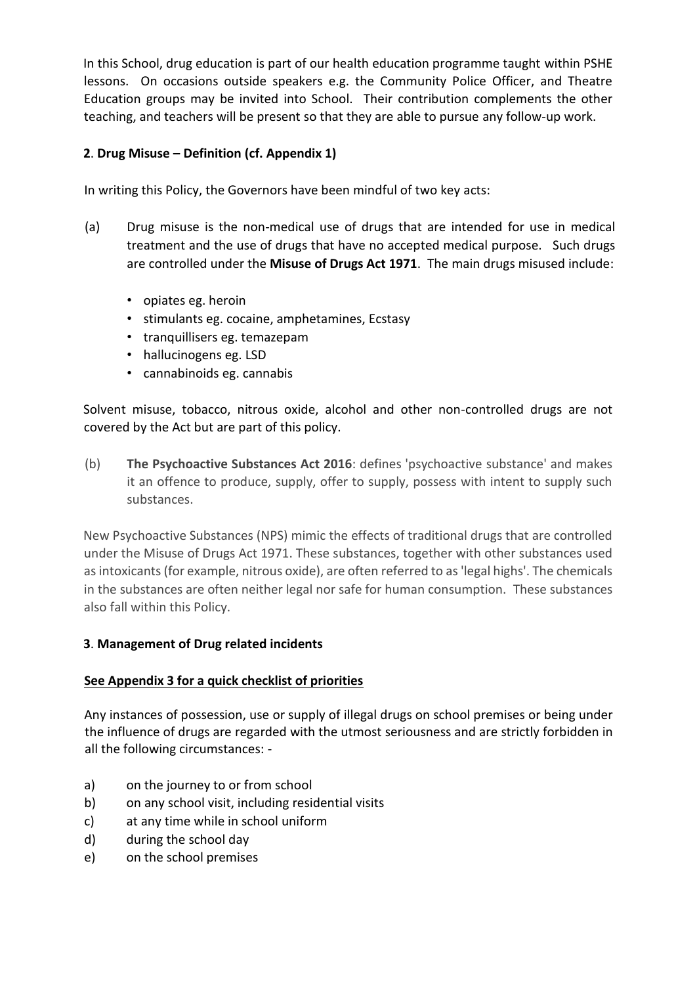In this School, drug education is part of our health education programme taught within PSHE lessons. On occasions outside speakers e.g. the Community Police Officer, and Theatre Education groups may be invited into School. Their contribution complements the other teaching, and teachers will be present so that they are able to pursue any follow-up work.

# **2**. **Drug Misuse – Definition (cf. Appendix 1)**

In writing this Policy, the Governors have been mindful of two key acts:

- (a) Drug misuse is the non-medical use of drugs that are intended for use in medical treatment and the use of drugs that have no accepted medical purpose. Such drugs are controlled under the **Misuse of Drugs Act 1971**. The main drugs misused include:
	- opiates eg. heroin
	- stimulants eg. cocaine, amphetamines, Ecstasy
	- tranquillisers eg. temazepam
	- hallucinogens eg. LSD
	- cannabinoids eg. cannabis

Solvent misuse, tobacco, nitrous oxide, alcohol and other non-controlled drugs are not covered by the Act but are part of this policy.

(b) **The Psychoactive Substances Act 2016**: defines 'psychoactive substance' and makes it an offence to produce, supply, offer to supply, possess with intent to supply such substances.

New Psychoactive Substances (NPS) mimic the effects of traditional drugs that are controlled under the Misuse of Drugs Act 1971. These substances, together with other substances used as intoxicants (for example, nitrous oxide), are often referred to as 'legal highs'. The chemicals in the substances are often neither legal nor safe for human consumption. These substances also fall within this Policy.

# **3**. **Management of Drug related incidents**

# **See Appendix 3 for a quick checklist of priorities**

Any instances of possession, use or supply of illegal drugs on school premises or being under the influence of drugs are regarded with the utmost seriousness and are strictly forbidden in all the following circumstances: -

- a) on the journey to or from school
- b) on any school visit, including residential visits
- c) at any time while in school uniform
- d) during the school day
- e) on the school premises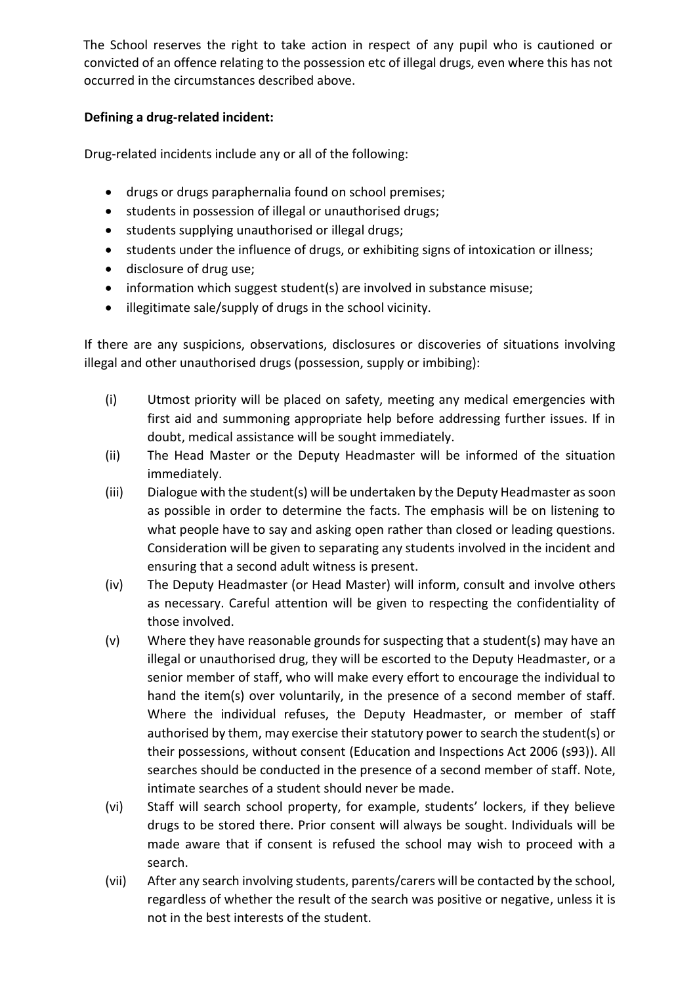The School reserves the right to take action in respect of any pupil who is cautioned or convicted of an offence relating to the possession etc of illegal drugs, even where this has not occurred in the circumstances described above.

# **Defining a drug-related incident:**

Drug-related incidents include any or all of the following:

- drugs or drugs paraphernalia found on school premises;
- students in possession of illegal or unauthorised drugs;
- students supplying unauthorised or illegal drugs;
- students under the influence of drugs, or exhibiting signs of intoxication or illness;
- disclosure of drug use;
- information which suggest student(s) are involved in substance misuse;
- illegitimate sale/supply of drugs in the school vicinity.

If there are any suspicions, observations, disclosures or discoveries of situations involving illegal and other unauthorised drugs (possession, supply or imbibing):

- (i) Utmost priority will be placed on safety, meeting any medical emergencies with first aid and summoning appropriate help before addressing further issues. If in doubt, medical assistance will be sought immediately.
- (ii) The Head Master or the Deputy Headmaster will be informed of the situation immediately.
- (iii) Dialogue with the student(s) will be undertaken by the Deputy Headmaster as soon as possible in order to determine the facts. The emphasis will be on listening to what people have to say and asking open rather than closed or leading questions. Consideration will be given to separating any students involved in the incident and ensuring that a second adult witness is present.
- (iv) The Deputy Headmaster (or Head Master) will inform, consult and involve others as necessary. Careful attention will be given to respecting the confidentiality of those involved.
- (v) Where they have reasonable grounds for suspecting that a student(s) may have an illegal or unauthorised drug, they will be escorted to the Deputy Headmaster, or a senior member of staff, who will make every effort to encourage the individual to hand the item(s) over voluntarily, in the presence of a second member of staff. Where the individual refuses, the Deputy Headmaster, or member of staff authorised by them, may exercise their statutory power to search the student(s) or their possessions, without consent (Education and Inspections Act 2006 (s93)). All searches should be conducted in the presence of a second member of staff. Note, intimate searches of a student should never be made.
- (vi) Staff will search school property, for example, students' lockers, if they believe drugs to be stored there. Prior consent will always be sought. Individuals will be made aware that if consent is refused the school may wish to proceed with a search.
- (vii) After any search involving students, parents/carers will be contacted by the school, regardless of whether the result of the search was positive or negative, unless it is not in the best interests of the student.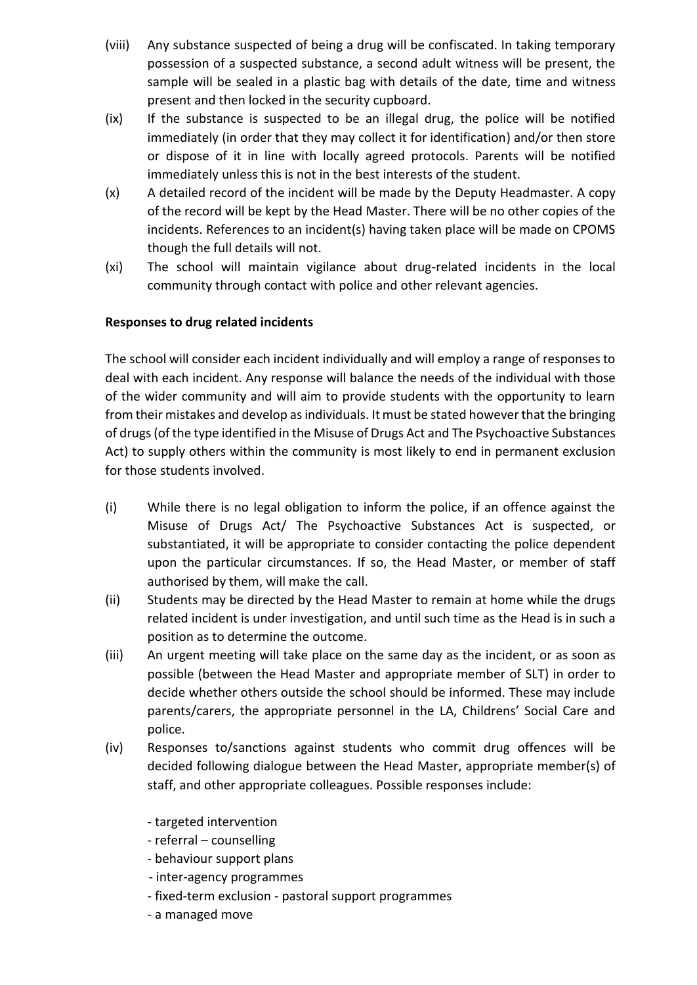- (viii) Any substance suspected of being a drug will be confiscated. In taking temporary possession of a suspected substance, a second adult witness will be present, the sample will be sealed in a plastic bag with details of the date, time and witness present and then locked in the security cupboard.
- (ix) If the substance is suspected to be an illegal drug, the police will be notified immediately (in order that they may collect it for identification) and/or then store or dispose of it in line with locally agreed protocols. Parents will be notified immediately unless this is not in the best interests of the student.
- (x) A detailed record of the incident will be made by the Deputy Headmaster. A copy of the record will be kept by the Head Master. There will be no other copies of the incidents. References to an incident(s) having taken place will be made on CPOMS though the full details will not.
- (xi) The school will maintain vigilance about drug-related incidents in the local community through contact with police and other relevant agencies.

# **Responses to drug related incidents**

The school will consider each incident individually and will employ a range of responses to deal with each incident. Any response will balance the needs of the individual with those of the wider community and will aim to provide students with the opportunity to learn from their mistakes and develop as individuals. It must be stated however that the bringing of drugs(of the type identified in the Misuse of Drugs Act and The Psychoactive Substances Act) to supply others within the community is most likely to end in permanent exclusion for those students involved.

- (i) While there is no legal obligation to inform the police, if an offence against the Misuse of Drugs Act/ The Psychoactive Substances Act is suspected, or substantiated, it will be appropriate to consider contacting the police dependent upon the particular circumstances. If so, the Head Master, or member of staff authorised by them, will make the call.
- (ii) Students may be directed by the Head Master to remain at home while the drugs related incident is under investigation, and until such time as the Head is in such a position as to determine the outcome.
- (iii) An urgent meeting will take place on the same day as the incident, or as soon as possible (between the Head Master and appropriate member of SLT) in order to decide whether others outside the school should be informed. These may include parents/carers, the appropriate personnel in the LA, Childrens' Social Care and police.
- (iv) Responses to/sanctions against students who commit drug offences will be decided following dialogue between the Head Master, appropriate member(s) of staff, and other appropriate colleagues. Possible responses include:
	- targeted intervention
	- referral counselling
	- behaviour support plans
	- inter-agency programmes
	- fixed-term exclusion pastoral support programmes
	- a managed move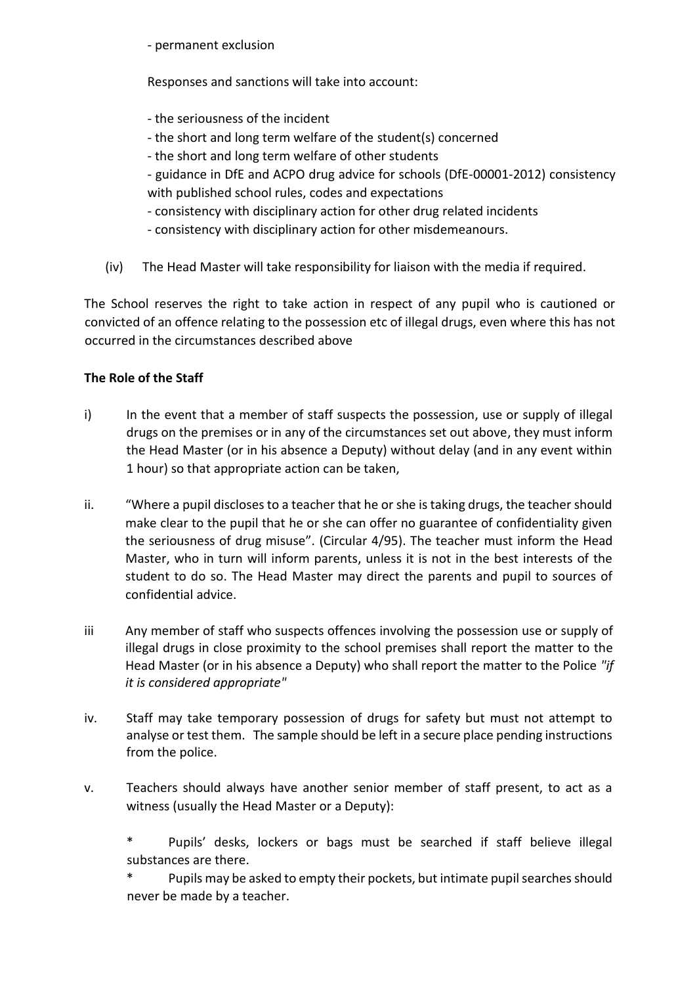- permanent exclusion

Responses and sanctions will take into account:

- the seriousness of the incident
- the short and long term welfare of the student(s) concerned
- the short and long term welfare of other students
- guidance in DfE and ACPO drug advice for schools (DfE-00001-2012) consistency with published school rules, codes and expectations
- consistency with disciplinary action for other drug related incidents
- consistency with disciplinary action for other misdemeanours.
- (iv) The Head Master will take responsibility for liaison with the media if required.

The School reserves the right to take action in respect of any pupil who is cautioned or convicted of an offence relating to the possession etc of illegal drugs, even where this has not occurred in the circumstances described above

# **The Role of the Staff**

- i) In the event that a member of staff suspects the possession, use or supply of illegal drugs on the premises or in any of the circumstances set out above, they must inform the Head Master (or in his absence a Deputy) without delay (and in any event within 1 hour) so that appropriate action can be taken,
- ii. "Where a pupil discloses to a teacher that he or she is taking drugs, the teacher should make clear to the pupil that he or she can offer no guarantee of confidentiality given the seriousness of drug misuse". (Circular 4/95). The teacher must inform the Head Master, who in turn will inform parents, unless it is not in the best interests of the student to do so. The Head Master may direct the parents and pupil to sources of confidential advice.
- iii Any member of staff who suspects offences involving the possession use or supply of illegal drugs in close proximity to the school premises shall report the matter to the Head Master (or in his absence a Deputy) who shall report the matter to the Police *"if it is considered appropriate"*
- iv. Staff may take temporary possession of drugs for safety but must not attempt to analyse or test them. The sample should be left in a secure place pending instructions from the police.
- v. Teachers should always have another senior member of staff present, to act as a witness (usually the Head Master or a Deputy):

Pupils' desks, lockers or bags must be searched if staff believe illegal substances are there.

Pupils may be asked to empty their pockets, but intimate pupil searches should never be made by a teacher.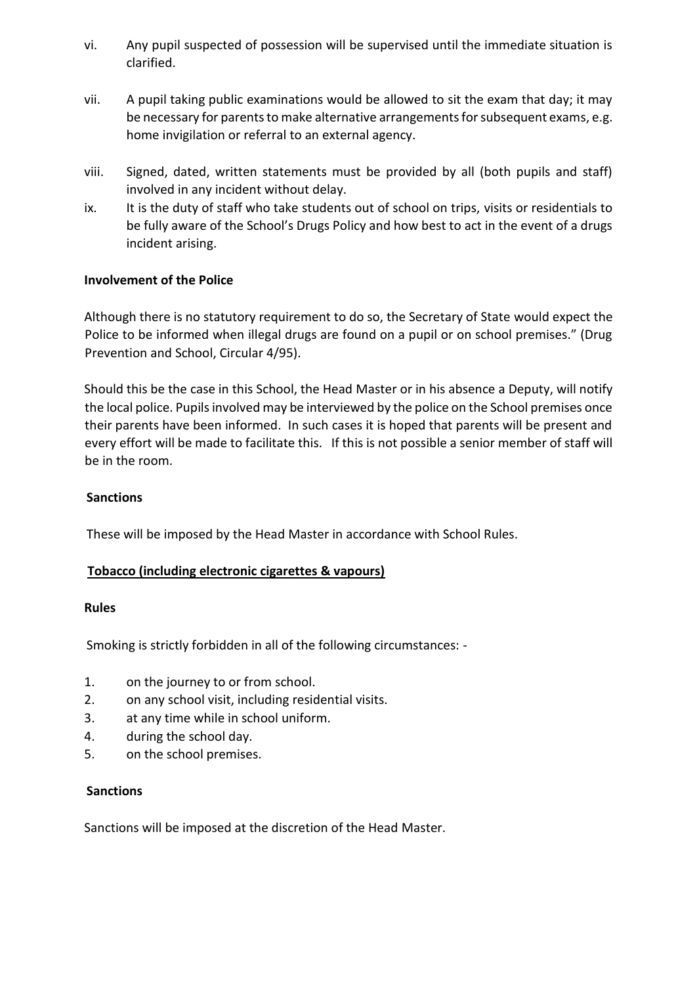- vi. Any pupil suspected of possession will be supervised until the immediate situation is clarified.
- vii. A pupil taking public examinations would be allowed to sit the exam that day; it may be necessary for parents to make alternative arrangements for subsequent exams, e.g. home invigilation or referral to an external agency.
- viii. Signed, dated, written statements must be provided by all (both pupils and staff) involved in any incident without delay.
- ix. It is the duty of staff who take students out of school on trips, visits or residentials to be fully aware of the School's Drugs Policy and how best to act in the event of a drugs incident arising.

# **Involvement of the Police**

Although there is no statutory requirement to do so, the Secretary of State would expect the Police to be informed when illegal drugs are found on a pupil or on school premises." (Drug Prevention and School, Circular 4/95).

Should this be the case in this School, the Head Master or in his absence a Deputy, will notify the local police. Pupils involved may be interviewed by the police on the School premises once their parents have been informed. In such cases it is hoped that parents will be present and every effort will be made to facilitate this. If this is not possible a senior member of staff will be in the room.

#### **Sanctions**

These will be imposed by the Head Master in accordance with School Rules.

# **Tobacco (including electronic cigarettes & vapours)**

#### **Rules**

Smoking is strictly forbidden in all of the following circumstances: -

- 1. on the journey to or from school.
- 2. on any school visit, including residential visits.
- 3. at any time while in school uniform.
- 4. during the school day.
- 5. on the school premises.

#### **Sanctions**

Sanctions will be imposed at the discretion of the Head Master.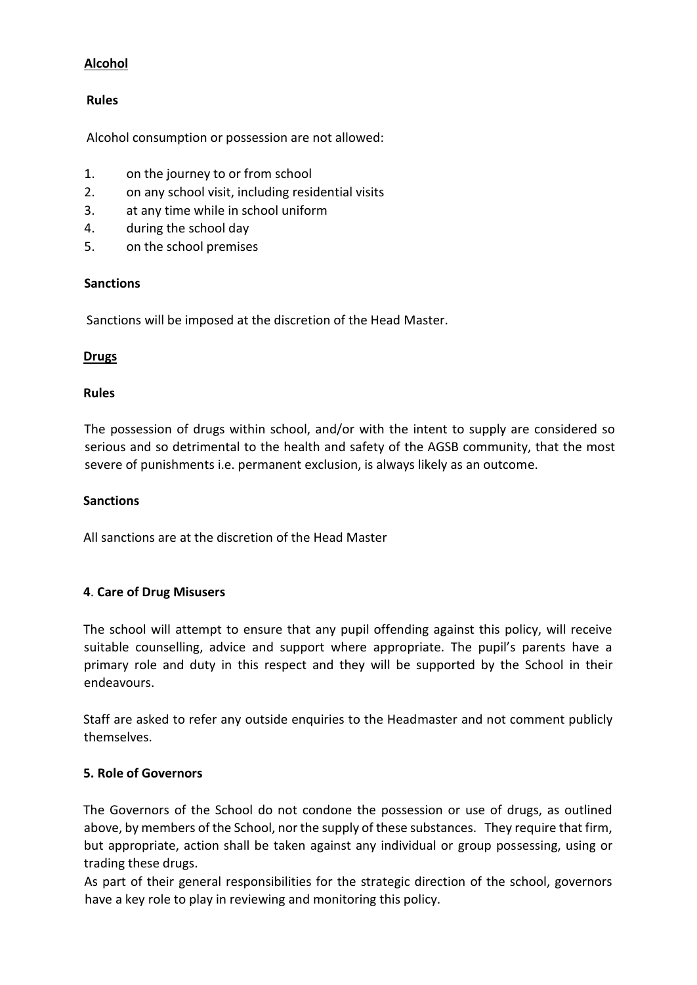# **Alcohol**

## **Rules**

Alcohol consumption or possession are not allowed:

- 1. on the journey to or from school
- 2. on any school visit, including residential visits
- 3. at any time while in school uniform
- 4. during the school day
- 5. on the school premises

### **Sanctions**

Sanctions will be imposed at the discretion of the Head Master.

# **Drugs**

### **Rules**

The possession of drugs within school, and/or with the intent to supply are considered so serious and so detrimental to the health and safety of the AGSB community, that the most severe of punishments i.e. permanent exclusion, is always likely as an outcome.

#### **Sanctions**

All sanctions are at the discretion of the Head Master

# **4**. **Care of Drug Misusers**

The school will attempt to ensure that any pupil offending against this policy, will receive suitable counselling, advice and support where appropriate. The pupil's parents have a primary role and duty in this respect and they will be supported by the School in their endeavours.

Staff are asked to refer any outside enquiries to the Headmaster and not comment publicly themselves.

#### **5. Role of Governors**

The Governors of the School do not condone the possession or use of drugs, as outlined above, by members of the School, nor the supply of these substances. They require that firm, but appropriate, action shall be taken against any individual or group possessing, using or trading these drugs.

As part of their general responsibilities for the strategic direction of the school, governors have a key role to play in reviewing and monitoring this policy.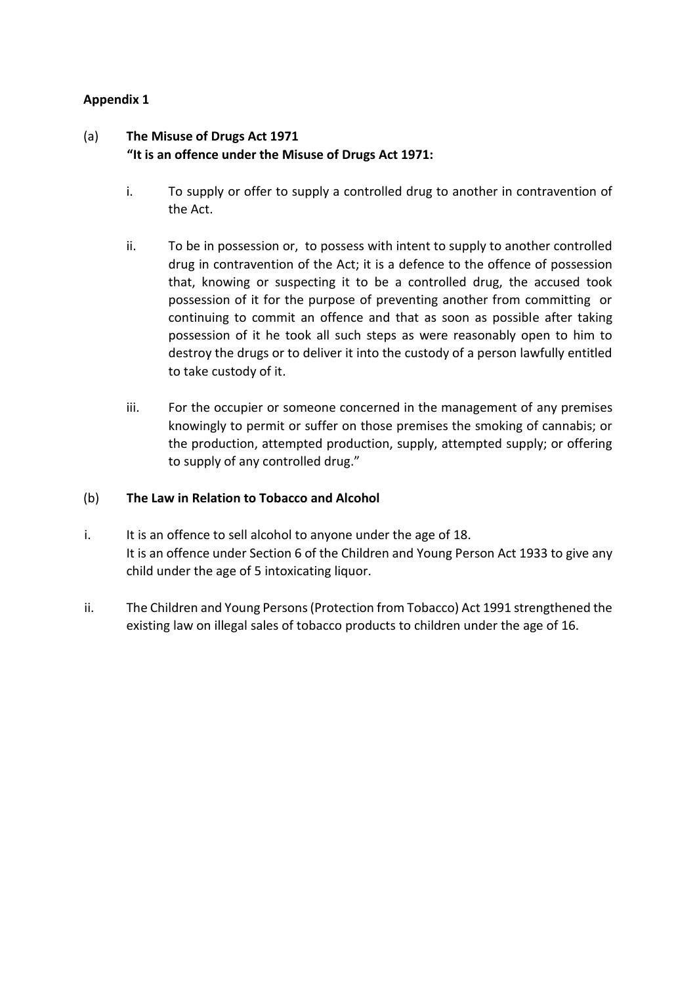# **Appendix 1**

# (a) **The Misuse of Drugs Act 1971 "It is an offence under the Misuse of Drugs Act 1971:**

- i. To supply or offer to supply a controlled drug to another in contravention of the Act.
- ii. To be in possession or, to possess with intent to supply to another controlled drug in contravention of the Act; it is a defence to the offence of possession that, knowing or suspecting it to be a controlled drug, the accused took possession of it for the purpose of preventing another from committing or continuing to commit an offence and that as soon as possible after taking possession of it he took all such steps as were reasonably open to him to destroy the drugs or to deliver it into the custody of a person lawfully entitled to take custody of it.
- iii. For the occupier or someone concerned in the management of any premises knowingly to permit or suffer on those premises the smoking of cannabis; or the production, attempted production, supply, attempted supply; or offering to supply of any controlled drug."

## (b) **The Law in Relation to Tobacco and Alcohol**

- i. It is an offence to sell alcohol to anyone under the age of 18. It is an offence under Section 6 of the Children and Young Person Act 1933 to give any child under the age of 5 intoxicating liquor.
- ii. The Children and Young Persons (Protection from Tobacco) Act 1991 strengthened the existing law on illegal sales of tobacco products to children under the age of 16.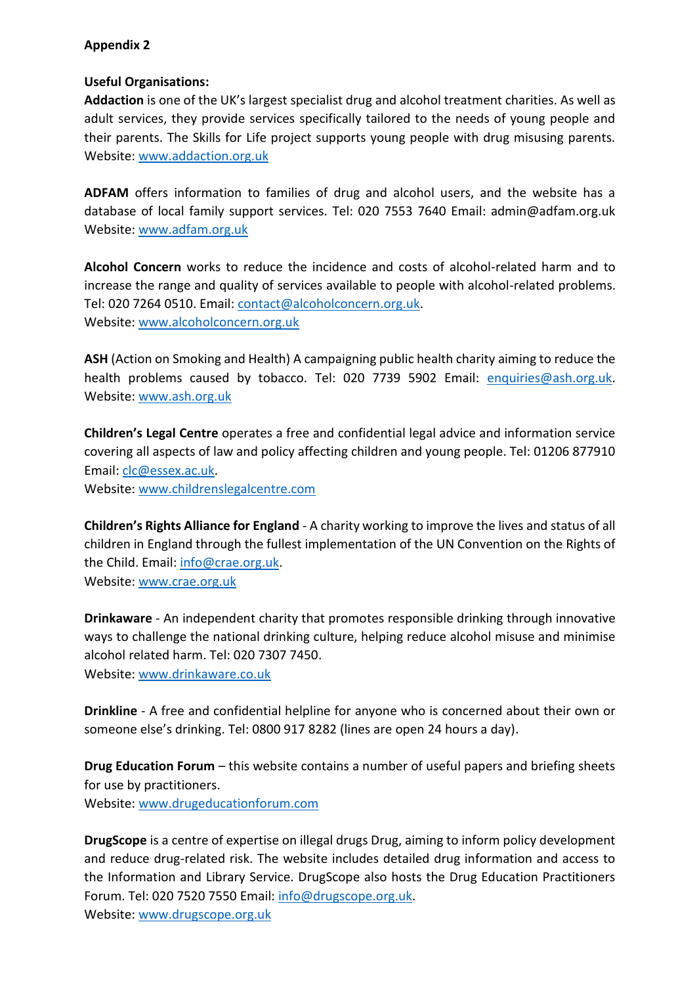# **Appendix 2**

# **Useful Organisations:**

**Addaction** is one of the UK's largest specialist drug and alcohol treatment charities. As well as adult services, they provide services specifically tailored to the needs of young people and their parents. The Skills for Life project supports young people with drug misusing parents. Website: [www.addaction.org.uk](http://www.addaction.org.uk/)

**ADFAM** offers information to families of drug and alcohol users, and the website has a database of local family support services. Tel: 020 7553 7640 Email: admin@adfam.org.uk Website: [www.adfam.org.uk](http://www.adfam.org.uk/)

**Alcohol Concern** works to reduce the incidence and costs of alcohol-related harm and to increase the range and quality of services available to people with alcohol-related problems. Tel: 020 7264 0510. Email: [contact@alcoholconcern.org.uk.](mailto:contact@alcoholconcern.org.uk) Website: [www.alcoholconcern.org.uk](http://www.alcoholconcern.org.uk/)

**ASH** (Action on Smoking and Health) A campaigning public health charity aiming to reduce the health problems caused by tobacco. Tel: 020 7739 5902 Email: [enquiries@ash.org.uk.](mailto:enquiries@ash.org.uk) Website: [www.ash.org.uk](http://www.ash.org.uk/)

**Children's Legal Centre** operates a free and confidential legal advice and information service covering all aspects of law and policy affecting children and young people. Tel: 01206 877910 Email: [clc@essex.ac.uk.](mailto:clc@essex.ac.uk)

Website: [www.childrenslegalcentre.com](http://www.childrenslegalcentre.com/)

**Children's Rights Alliance for England** - A charity working to improve the lives and status of all children in England through the fullest implementation of the UN Convention on the Rights of the Child. Email: [info@crae.org.uk.](mailto:info@crae.org.uk) Website: [www.crae.org.uk](http://www.crae.org.uk/)

**Drinkaware** - An independent charity that promotes responsible drinking through innovative ways to challenge the national drinking culture, helping reduce alcohol misuse and minimise alcohol related harm. Tel: 020 7307 7450.

Website: [www.drinkaware.co.uk](http://www.drinkaware.co.uk/)

**Drinkline** - A free and confidential helpline for anyone who is concerned about their own or someone else's drinking. Tel: 0800 917 8282 (lines are open 24 hours a day).

**Drug Education Forum** – this website contains a number of useful papers and briefing sheets for use by practitioners. Website: [www.drugeducationforum.com](http://www.drugeducationforum.com/)

**DrugScope** is a centre of expertise on illegal drugs Drug, aiming to inform policy development and reduce drug-related risk. The website includes detailed drug information and access to the Information and Library Service. DrugScope also hosts the Drug Education Practitioners Forum. Tel: 020 7520 7550 Email: [info@drugscope.org.uk.](mailto:info@drugscope.org.uk) Website: [www.drugscope.org.uk](http://www.drugscope.org.uk/)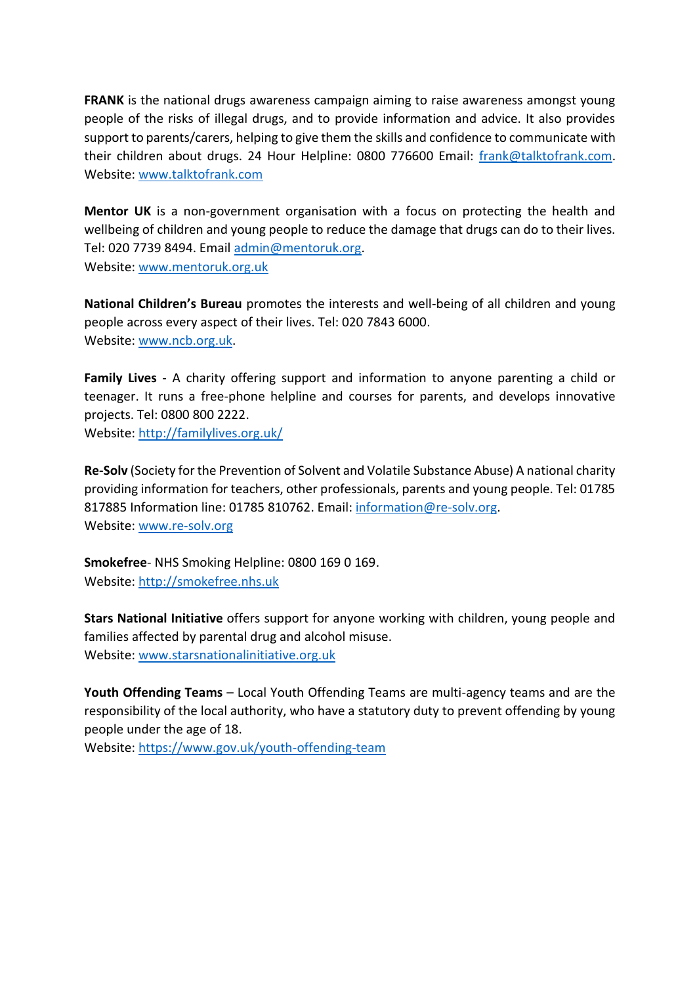**FRANK** is the national drugs awareness campaign aiming to raise awareness amongst young people of the risks of illegal drugs, and to provide information and advice. It also provides support to parents/carers, helping to give them the skills and confidence to communicate with their children about drugs. 24 Hour Helpline: 0800 776600 Email: [frank@talktofrank.com.](mailto:frank@talktofrank.com) Website: [www.talktofrank.com](http://www.talktofrank.com/)

**Mentor UK** is a non-government organisation with a focus on protecting the health and wellbeing of children and young people to reduce the damage that drugs can do to their lives. Tel: 020 7739 8494. Email [admin@mentoruk.org.](mailto:admin@mentoruk.org) Website: [www.mentoruk.org.uk](http://www.mentoruk.org.uk/)

**National Children's Bureau** promotes the interests and well-being of all children and young people across every aspect of their lives. Tel: 020 7843 6000. Website: [www.ncb.org.uk.](http://www.ncb.org.uk/)

**Family Lives** - A charity offering support and information to anyone parenting a child or teenager. It runs a free-phone helpline and courses for parents, and develops innovative projects. Tel: 0800 800 2222. Website:<http://familylives.org.uk/>

**Re-Solv** (Society for the Prevention of Solvent and Volatile Substance Abuse) A national charity providing information for teachers, other professionals, parents and young people. Tel: 01785 817885 Information line: 01785 810762. Email: [information@re-solv.org.](mailto:information@re-solv.org) Website: [www.re-solv.org](http://www.re-solv.org/)

**Smokefree**- NHS Smoking Helpline: 0800 169 0 169. Website: [http://smokefree.nhs.uk](http://smokefree.nhs.uk/)

**Stars National Initiative** offers support for anyone working with children, young people and families affected by parental drug and alcohol misuse. Website: [www.starsnationalinitiative.org.uk](http://www.starsnationalinitiative.org.uk/)

**Youth Offending Teams** – Local Youth Offending Teams are multi-agency teams and are the responsibility of the local authority, who have a statutory duty to prevent offending by young people under the age of 18.

Website:<https://www.gov.uk/youth-offending-team>